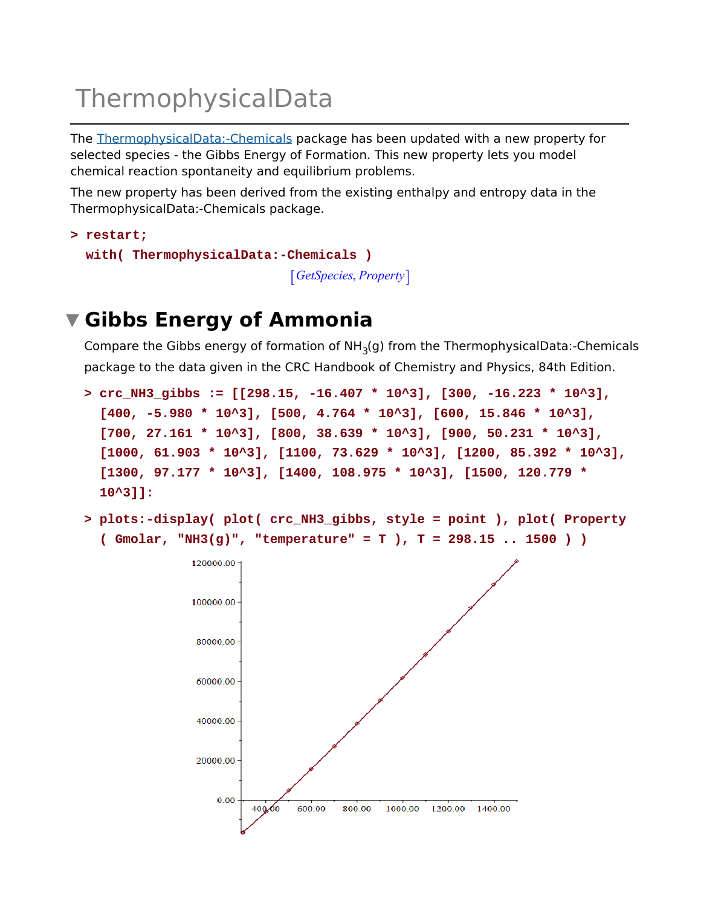# ThermophysicalData

The ThermophysicalData:-Chemicals package has been updated with a new property for selected species - the Gibbs Energy of Formation. This new property lets you model chemical reaction spontaneity and equilibrium problems.

The new property has been derived from the existing enthalpy and entropy data in the ThermophysicalData:-Chemicals package.

```
restart;
> 
 with( ThermophysicalData:-Chemicals )
                               GetSpecies, Property
```
# **Gibbs Energy of Ammonia**

Compare the Gibbs energy of formation of NH<sub>3</sub>(g) from the ThermophysicalData:-Chemicals package to the data given in the CRC Handbook of Chemistry and Physics, 84th Edition.

```
crc_NH3_gibbs := [[298.15, -16.407 * 10^3], [300, -16.223 * 10^3], 
> 
  [400, -5.980 * 10^3], [500, 4.764 * 10^3], [600, 15.846 * 10^3], 
  [700, 27.161 * 10^3], [800, 38.639 * 10^3], [900, 50.231 * 10^3], 
  [1000, 61.903 * 10^3], [1100, 73.629 * 10^3], [1200, 85.392 * 10^3],
  [1300, 97.177 * 10^3], [1400, 108.975 * 10^3], [1500, 120.779 * 
 10^3]]:
```
**plots:-display( plot( crc\_NH3\_gibbs, style = point ), plot( Property > ( Gmolar, "NH3(g)", "temperature" = T ), T = 298.15 .. 1500 ) )**

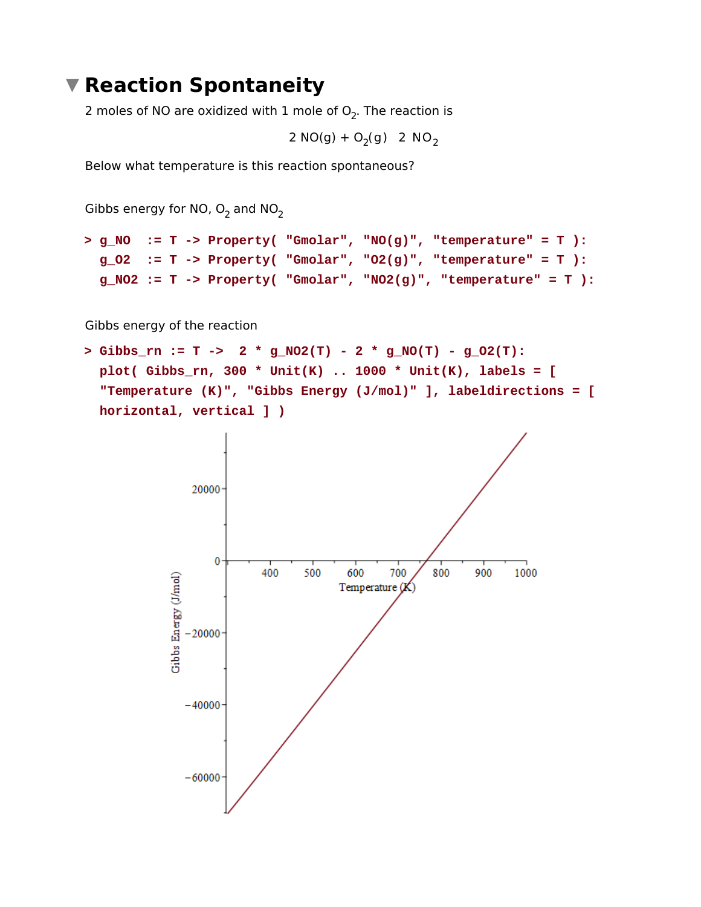### **Reaction Spontaneity**

2 moles of NO are oxidized with  $1$  mole of  $\mathrm{O}_2$ . The reaction is

2 NO(g) + O<sub>2</sub>(g) 2 NO<sub>2</sub>

Below what temperature is this reaction spontaneous?

Gibbs energy for NO,  $\mathrm{O}_2$  and NO<sub>2</sub>

```
g_NO := T -> Property( "Gmolar", "NO(g)", "temperature" = T ):
> 
 g_O2 := T -> Property( "Gmolar", "O2(g)", "temperature" = T ):
 g_NO2 := T -> Property( "Gmolar", "NO2(g)", "temperature" = T ):
```
Gibbs energy of the reaction

 $>$  Gibbs\_rn := T -> 2 \* g\_NO2(T) - 2 \* g\_NO(T) - g\_O2(T): **plot( Gibbs\_rn, 300 \* Unit(K) .. 1000 \* Unit(K), labels = [ "Temperature (K)", "Gibbs Energy (J/mol)" ], labeldirections = [ horizontal, vertical ] )**

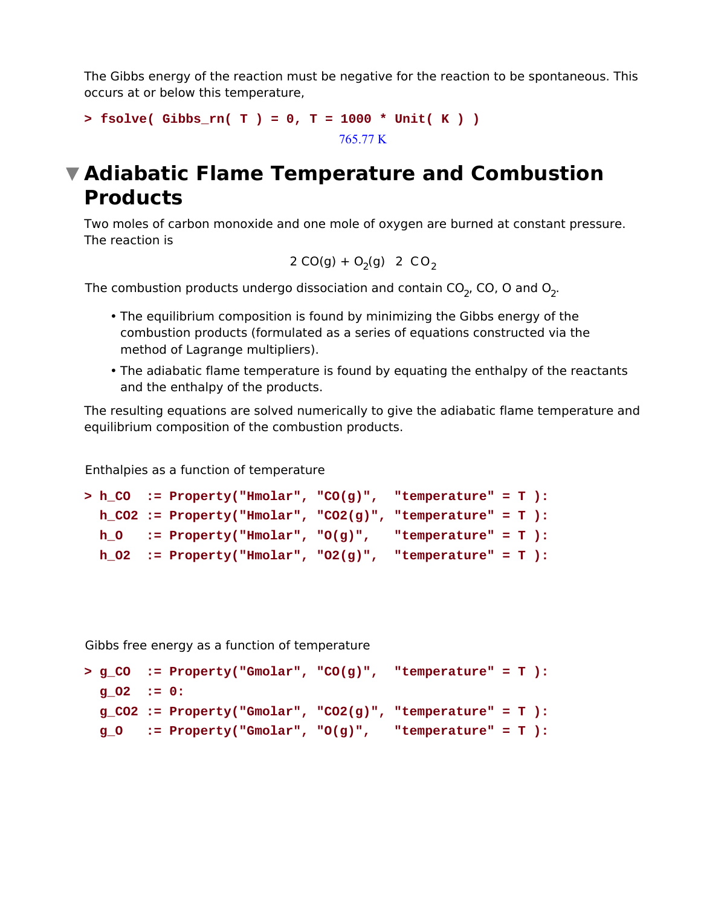The Gibbs energy of the reaction must be negative for the reaction to be spontaneous. This occurs at or below this temperature,

```
> fsolve( Gibbs_rn( T ) = 0, T = 1000 * Unit( K ) )
                                  765.77 K
```
# **Adiabatic Flame Temperature and Combustion Products**

Two moles of carbon monoxide and one mole of oxygen are burned at constant pressure. The reaction is

$$
2 CO(g) + O_2(g)
$$
 2 CO<sub>2</sub>

The combustion products undergo dissociation and contain CO<sub>2</sub>, CO, O and O<sub>2</sub>.

- The equilibrium composition is found by minimizing the Gibbs energy of the combustion products (formulated as a series of equations constructed via the method of Lagrange multipliers).
- The adiabatic flame temperature is found by equating the enthalpy of the reactants and the enthalpy of the products.

The resulting equations are solved numerically to give the adiabatic flame temperature and equilibrium composition of the combustion products.

Enthalpies as a function of temperature

```
h_CO := Property("Hmolar", "CO(g)", "temperature" = T ):
> 
 h_CO2 := Property("Hmolar", "CO2(g)", "temperature" = T ):
 h_O := Property("Hmolar", "O(g)", "temperature" = T ):
 h O2 := Property("Hmolar", "O2(q)", "temperature" = T ):
```
Gibbs free energy as a function of temperature

```
g_CO := Property("Gmolar", "CO(g)", "temperature" = T ):
> g_O2 := 0:
 g_CO2 := Property("Gmolar", "CO2(g)", "temperature" = T ):
 g_O := Property("Gmolar", "O(g)", "temperature" = T ):
```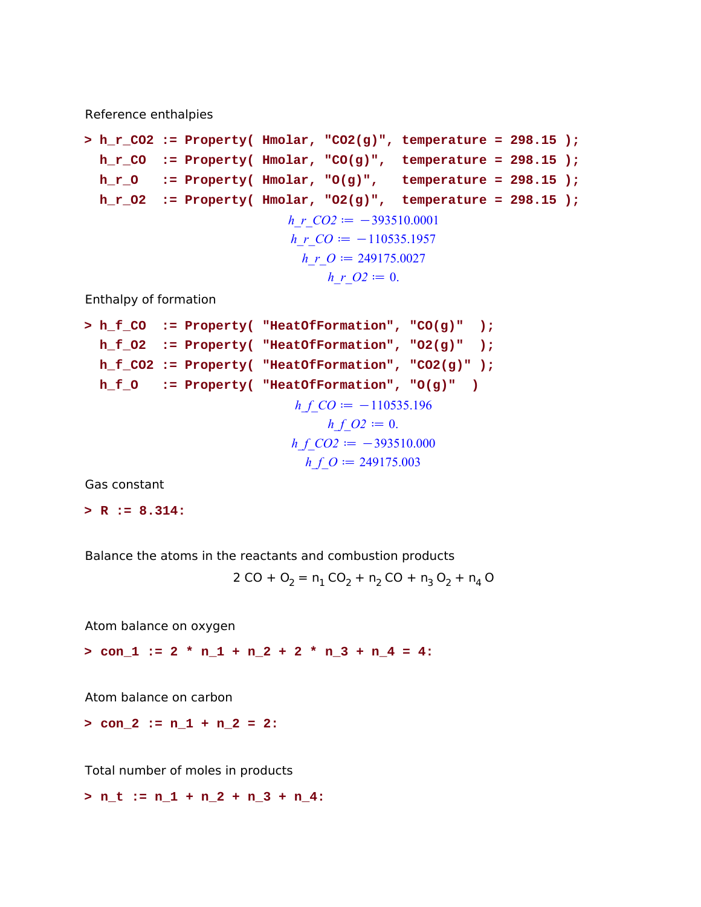Reference enthalpies

```
h_r_CO2 := Property( Hmolar, "CO2(g)", temperature = 298.15 );
> 
 h_r_CO := Property( Hmolar, "CO(g)", temperature = 298.15 );
 h_r_O := Property( Hmolar, "O(g)", temperature = 298.15 );
 h_r_O2 := Property( Hmolar, "O2(g)", temperature = 298.15 );
                           h_r_CO2 = -393510.0001h r CO := -110535.1957h r \theta \coloneqq 249175.0027
                               h r O2 := 0.
```
Enthalpy of formation

**h\_f\_CO := Property( "HeatOfFormation", "CO(g)" ); h\_f\_O2 := Property( "HeatOfFormation", "O2(g)" ); h\_f\_CO2 := Property( "HeatOfFormation", "CO2(g)" ); h\_f\_O := Property( "HeatOfFormation", "O(g)" ) >**  *h\_f\_CO* d K110535.196 *h\_f\_O2* d 0. *h\_f\_CO2* d K393510.000 *h\_f\_O* d 249175.003

Gas constant

**> R := 8.314:**

Balance the atoms in the reactants and combustion products

$$
2 CO + O2 = n1 CO2 + n2 CO + n3 O2 + n4 O
$$

Atom balance on oxygen

**> con\_1 := 2 \* n\_1 + n\_2 + 2 \* n\_3 + n\_4 = 4:**

Atom balance on carbon

**> con\_2 := n\_1 + n\_2 = 2:**

Total number of moles in products

**> n\_t := n\_1 + n\_2 + n\_3 + n\_4:**